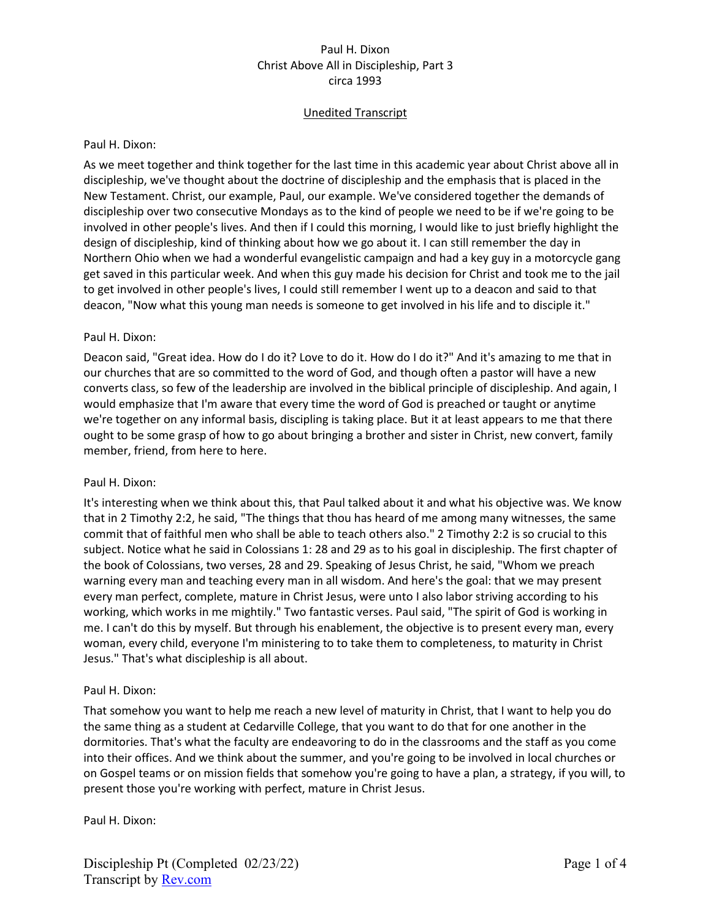# Unedited Transcript

#### Paul H. Dixon:

As we meet together and think together for the last time in this academic year about Christ above all in discipleship, we've thought about the doctrine of discipleship and the emphasis that is placed in the New Testament. Christ, our example, Paul, our example. We've considered together the demands of discipleship over two consecutive Mondays as to the kind of people we need to be if we're going to be involved in other people's lives. And then if I could this morning, I would like to just briefly highlight the design of discipleship, kind of thinking about how we go about it. I can still remember the day in Northern Ohio when we had a wonderful evangelistic campaign and had a key guy in a motorcycle gang get saved in this particular week. And when this guy made his decision for Christ and took me to the jail to get involved in other people's lives, I could still remember I went up to a deacon and said to that deacon, "Now what this young man needs is someone to get involved in his life and to disciple it."

#### Paul H. Dixon:

Deacon said, "Great idea. How do I do it? Love to do it. How do I do it?" And it's amazing to me that in our churches that are so committed to the word of God, and though often a pastor will have a new converts class, so few of the leadership are involved in the biblical principle of discipleship. And again, I would emphasize that I'm aware that every time the word of God is preached or taught or anytime we're together on any informal basis, discipling is taking place. But it at least appears to me that there ought to be some grasp of how to go about bringing a brother and sister in Christ, new convert, family member, friend, from here to here.

#### Paul H. Dixon:

It's interesting when we think about this, that Paul talked about it and what his objective was. We know that in 2 Timothy 2:2, he said, "The things that thou has heard of me among many witnesses, the same commit that of faithful men who shall be able to teach others also." 2 Timothy 2:2 is so crucial to this subject. Notice what he said in Colossians 1: 28 and 29 as to his goal in discipleship. The first chapter of the book of Colossians, two verses, 28 and 29. Speaking of Jesus Christ, he said, "Whom we preach warning every man and teaching every man in all wisdom. And here's the goal: that we may present every man perfect, complete, mature in Christ Jesus, were unto I also labor striving according to his working, which works in me mightily." Two fantastic verses. Paul said, "The spirit of God is working in me. I can't do this by myself. But through his enablement, the objective is to present every man, every woman, every child, everyone I'm ministering to to take them to completeness, to maturity in Christ Jesus." That's what discipleship is all about.

#### Paul H. Dixon:

That somehow you want to help me reach a new level of maturity in Christ, that I want to help you do the same thing as a student at Cedarville College, that you want to do that for one another in the dormitories. That's what the faculty are endeavoring to do in the classrooms and the staff as you come into their offices. And we think about the summer, and you're going to be involved in local churches or on Gospel teams or on mission fields that somehow you're going to have a plan, a strategy, if you will, to present those you're working with perfect, mature in Christ Jesus.

Paul H. Dixon: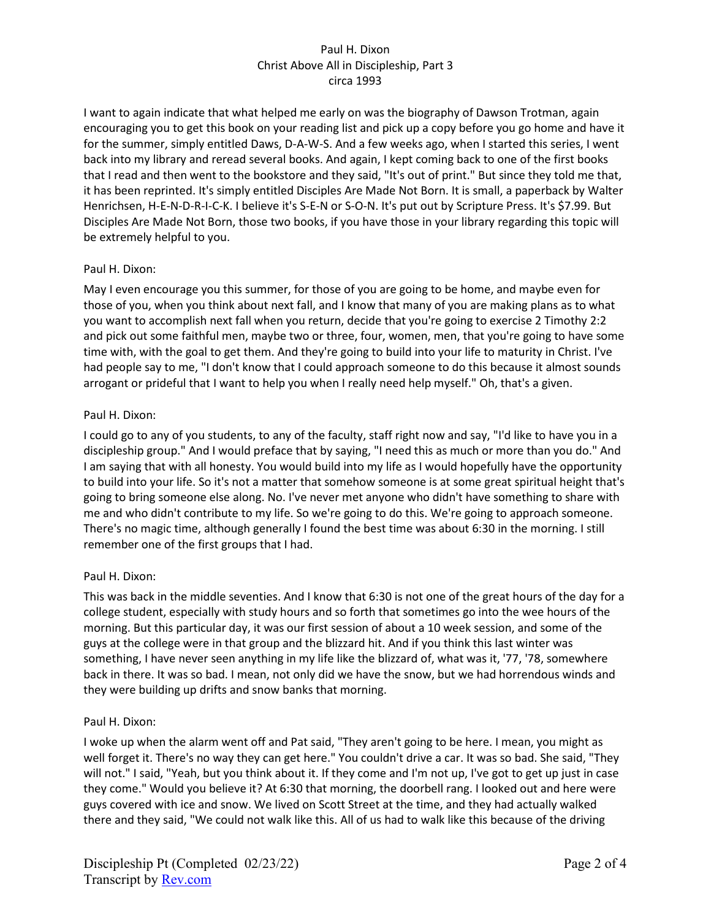I want to again indicate that what helped me early on was the biography of Dawson Trotman, again encouraging you to get this book on your reading list and pick up a copy before you go home and have it for the summer, simply entitled Daws, D-A-W-S. And a few weeks ago, when I started this series, I went back into my library and reread several books. And again, I kept coming back to one of the first books that I read and then went to the bookstore and they said, "It's out of print." But since they told me that, it has been reprinted. It's simply entitled Disciples Are Made Not Born. It is small, a paperback by Walter Henrichsen, H-E-N-D-R-I-C-K. I believe it's S-E-N or S-O-N. It's put out by Scripture Press. It's \$7.99. But Disciples Are Made Not Born, those two books, if you have those in your library regarding this topic will be extremely helpful to you.

## Paul H. Dixon:

May I even encourage you this summer, for those of you are going to be home, and maybe even for those of you, when you think about next fall, and I know that many of you are making plans as to what you want to accomplish next fall when you return, decide that you're going to exercise 2 Timothy 2:2 and pick out some faithful men, maybe two or three, four, women, men, that you're going to have some time with, with the goal to get them. And they're going to build into your life to maturity in Christ. I've had people say to me, "I don't know that I could approach someone to do this because it almost sounds arrogant or prideful that I want to help you when I really need help myself." Oh, that's a given.

# Paul H. Dixon:

I could go to any of you students, to any of the faculty, staff right now and say, "I'd like to have you in a discipleship group." And I would preface that by saying, "I need this as much or more than you do." And I am saying that with all honesty. You would build into my life as I would hopefully have the opportunity to build into your life. So it's not a matter that somehow someone is at some great spiritual height that's going to bring someone else along. No. I've never met anyone who didn't have something to share with me and who didn't contribute to my life. So we're going to do this. We're going to approach someone. There's no magic time, although generally I found the best time was about 6:30 in the morning. I still remember one of the first groups that I had.

## Paul H. Dixon:

This was back in the middle seventies. And I know that 6:30 is not one of the great hours of the day for a college student, especially with study hours and so forth that sometimes go into the wee hours of the morning. But this particular day, it was our first session of about a 10 week session, and some of the guys at the college were in that group and the blizzard hit. And if you think this last winter was something, I have never seen anything in my life like the blizzard of, what was it, '77, '78, somewhere back in there. It was so bad. I mean, not only did we have the snow, but we had horrendous winds and they were building up drifts and snow banks that morning.

## Paul H. Dixon:

I woke up when the alarm went off and Pat said, "They aren't going to be here. I mean, you might as well forget it. There's no way they can get here." You couldn't drive a car. It was so bad. She said, "They will not." I said, "Yeah, but you think about it. If they come and I'm not up, I've got to get up just in case they come." Would you believe it? At 6:30 that morning, the doorbell rang. I looked out and here were guys covered with ice and snow. We lived on Scott Street at the time, and they had actually walked there and they said, "We could not walk like this. All of us had to walk like this because of the driving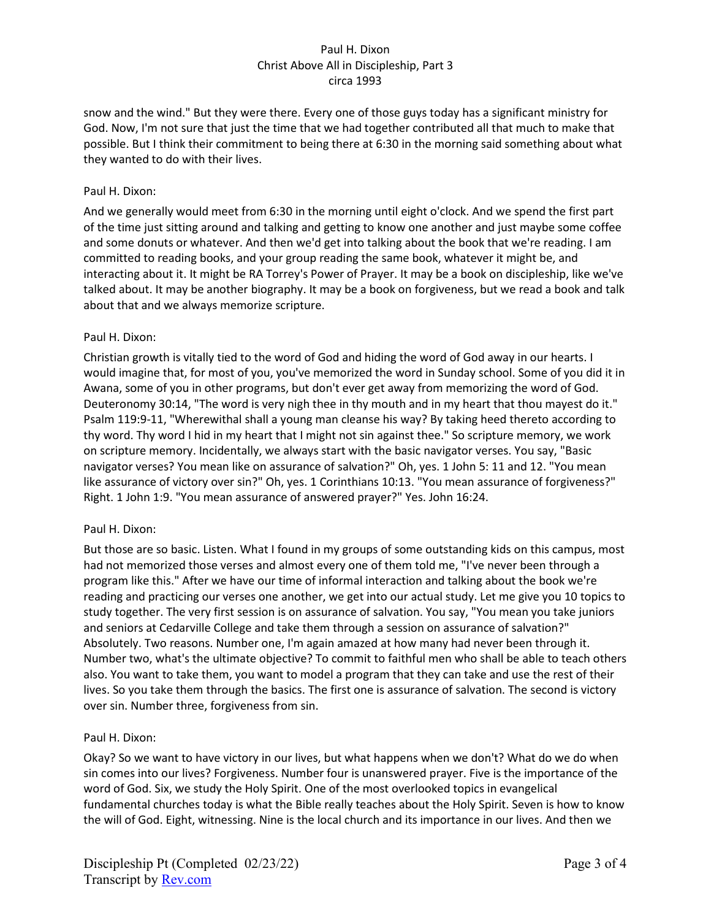snow and the wind." But they were there. Every one of those guys today has a significant ministry for God. Now, I'm not sure that just the time that we had together contributed all that much to make that possible. But I think their commitment to being there at 6:30 in the morning said something about what they wanted to do with their lives.

## Paul H. Dixon:

And we generally would meet from 6:30 in the morning until eight o'clock. And we spend the first part of the time just sitting around and talking and getting to know one another and just maybe some coffee and some donuts or whatever. And then we'd get into talking about the book that we're reading. I am committed to reading books, and your group reading the same book, whatever it might be, and interacting about it. It might be RA Torrey's Power of Prayer. It may be a book on discipleship, like we've talked about. It may be another biography. It may be a book on forgiveness, but we read a book and talk about that and we always memorize scripture.

#### Paul H. Dixon:

Christian growth is vitally tied to the word of God and hiding the word of God away in our hearts. I would imagine that, for most of you, you've memorized the word in Sunday school. Some of you did it in Awana, some of you in other programs, but don't ever get away from memorizing the word of God. Deuteronomy 30:14, "The word is very nigh thee in thy mouth and in my heart that thou mayest do it." Psalm 119:9-11, "Wherewithal shall a young man cleanse his way? By taking heed thereto according to thy word. Thy word I hid in my heart that I might not sin against thee." So scripture memory, we work on scripture memory. Incidentally, we always start with the basic navigator verses. You say, "Basic navigator verses? You mean like on assurance of salvation?" Oh, yes. 1 John 5: 11 and 12. "You mean like assurance of victory over sin?" Oh, yes. 1 Corinthians 10:13. "You mean assurance of forgiveness?" Right. 1 John 1:9. "You mean assurance of answered prayer?" Yes. John 16:24.

#### Paul H. Dixon:

But those are so basic. Listen. What I found in my groups of some outstanding kids on this campus, most had not memorized those verses and almost every one of them told me, "I've never been through a program like this." After we have our time of informal interaction and talking about the book we're reading and practicing our verses one another, we get into our actual study. Let me give you 10 topics to study together. The very first session is on assurance of salvation. You say, "You mean you take juniors and seniors at Cedarville College and take them through a session on assurance of salvation?" Absolutely. Two reasons. Number one, I'm again amazed at how many had never been through it. Number two, what's the ultimate objective? To commit to faithful men who shall be able to teach others also. You want to take them, you want to model a program that they can take and use the rest of their lives. So you take them through the basics. The first one is assurance of salvation. The second is victory over sin. Number three, forgiveness from sin.

## Paul H. Dixon:

Okay? So we want to have victory in our lives, but what happens when we don't? What do we do when sin comes into our lives? Forgiveness. Number four is unanswered prayer. Five is the importance of the word of God. Six, we study the Holy Spirit. One of the most overlooked topics in evangelical fundamental churches today is what the Bible really teaches about the Holy Spirit. Seven is how to know the will of God. Eight, witnessing. Nine is the local church and its importance in our lives. And then we